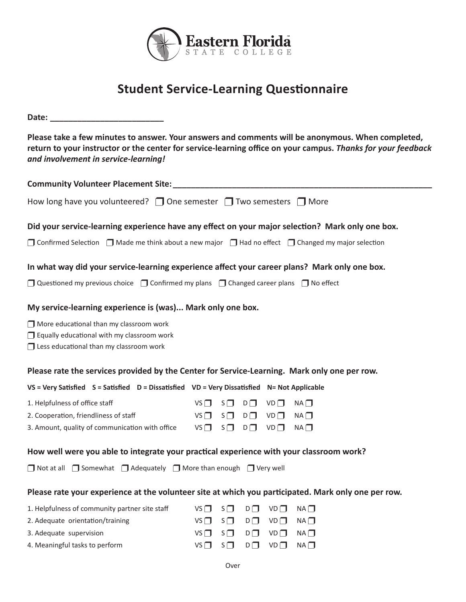

# **Student Service-Learning Questionnaire**

**Date: \_\_\_\_\_\_\_\_\_\_\_\_\_\_\_\_\_\_\_\_\_\_\_\_\_**

**Please take a few minutes to answer. Your answers and comments will be anonymous. When completed, return to your instructor or the center for service-learning office on your campus.** *Thanks for your feedback and involvement in service-learning!*

| <b>Community Volunteer Placement Site:</b>                                                                               |             |          |          |             |             |  |  |
|--------------------------------------------------------------------------------------------------------------------------|-------------|----------|----------|-------------|-------------|--|--|
| How long have you volunteered? $\Box$ One semester $\Box$ Two semesters $\Box$ More                                      |             |          |          |             |             |  |  |
| Did your service-learning experience have any effect on your major selection? Mark only one box.                         |             |          |          |             |             |  |  |
| $\Box$ Confirmed Selection $\Box$ Made me think about a new major $\Box$ Had no effect $\Box$ Changed my major selection |             |          |          |             |             |  |  |
| In what way did your service-learning experience affect your career plans? Mark only one box.                            |             |          |          |             |             |  |  |
| Questioned my previous choice $\Box$ Confirmed my plans $\Box$ Changed career plans $\Box$ No effect                     |             |          |          |             |             |  |  |
| My service-learning experience is (was) Mark only one box.                                                               |             |          |          |             |             |  |  |
|                                                                                                                          |             |          |          |             |             |  |  |
| $\Box$ More educational than my classroom work                                                                           |             |          |          |             |             |  |  |
| Equally educational with my classroom work<br>□ Less educational than my classroom work                                  |             |          |          |             |             |  |  |
|                                                                                                                          |             |          |          |             |             |  |  |
| Please rate the services provided by the Center for Service-Learning. Mark only one per row.                             |             |          |          |             |             |  |  |
| VS = Very Satisfied S = Satisfied D = Dissatisfied VD = Very Dissatisfied N = Not Applicable                             |             |          |          |             |             |  |  |
| 1. Helpfulness of office staff                                                                                           | $VS$ $\Box$ | $S\Box$  | $D \Box$ | $VD$ $\Box$ | NA          |  |  |
| 2. Cooperation, friendliness of staff                                                                                    | $VS$ $\Box$ | $S\Box$  | $D \Box$ | $VD$ $\Box$ | NA          |  |  |
| 3. Amount, quality of communication with office                                                                          | VS          | $S \Box$ | $D \Box$ | $VD$ $\P$   | $NA$ $\Box$ |  |  |
|                                                                                                                          |             |          |          |             |             |  |  |
| How well were you able to integrate your practical experience with your classroom work?                                  |             |          |          |             |             |  |  |
| ◯ Not at all ◯ Somewhat ◯ Adequately ◯ More than enough ◯ Very well                                                      |             |          |          |             |             |  |  |
| Please rate your experience at the volunteer site at which you participated. Mark only one per row.                      |             |          |          |             |             |  |  |
| 1. Helpfulness of community partner site staff                                                                           | $VS$ $\Box$ | $S \Box$ | $D \Box$ | $VD$ $\Box$ | $NA$ $\Box$ |  |  |
| 2. Adequate orientation/training                                                                                         | $VS$ $\Box$ | $S\Box$  | $D \Box$ | $VD$ $\Box$ | NA          |  |  |
| 3. Adequate supervision                                                                                                  | VS          | $S \Box$ | $D \Box$ | $VD$ $\Box$ | NA          |  |  |
| 4. Meaningful tasks to perform                                                                                           | VS          | $S\Box$  | $D\Box$  | $VD$ $\Box$ | NA          |  |  |
| Over                                                                                                                     |             |          |          |             |             |  |  |